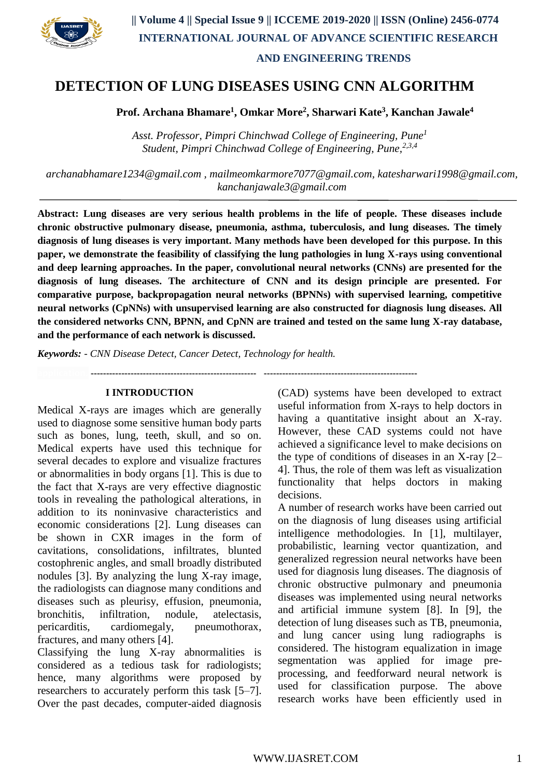

# **DETECTION OF LUNG DISEASES USING CNN ALGORITHM**

**Prof. Archana Bhamare<sup>1</sup> , Omkar More<sup>2</sup> , Sharwari Kate<sup>3</sup> , Kanchan Jawale<sup>4</sup>**

*Asst. Professor, Pimpri Chinchwad College of Engineering, Pune<sup>1</sup> Student, Pimpri Chinchwad College of Engineering, Pune, 2,3,4*

*[archanabhamare1234@gmail.com](mailto:archanabhamare1234@gmail.com) , [mailmeomkarmore7077@gmail.com,](mailto:mailmeomkarmore7077@gmail.com) [katesharwari1998@gmail.com,](mailto:katesharwari1998@gmail.com) [kanchanjawale3@gmail.com](mailto:kanchanjawale3@gmail.com)*

**Abstract: Lung diseases are very serious health problems in the life of people. These diseases include chronic obstructive pulmonary disease, pneumonia, asthma, tuberculosis, and lung diseases. The timely diagnosis of lung diseases is very important. Many methods have been developed for this purpose. In this paper, we demonstrate the feasibility of classifying the lung pathologies in lung X-rays using conventional and deep learning approaches. In the paper, convolutional neural networks (CNNs) are presented for the diagnosis of lung diseases. The architecture of CNN and its design principle are presented. For comparative purpose, backpropagation neural networks (BPNNs) with supervised learning, competitive neural networks (CpNNs) with unsupervised learning are also constructed for diagnosis lung diseases. All the considered networks CNN, BPNN, and CpNN are trained and tested on the same lung X-ray database, and the performance of each network is discussed.** 

*Keywords: - CNN Disease Detect, Cancer Detect, Technology for health.*

**application. ------------------------------------------------------ --------------------------------------------------**

#### **I INTRODUCTION**

Medical X-rays are images which are generally used to diagnose some sensitive human body parts such as bones, lung, teeth, skull, and so on. Medical experts have used this technique for several decades to explore and visualize fractures or abnormalities in body organs [1]. This is due to the fact that X-rays are very effective diagnostic tools in revealing the pathological alterations, in addition to its noninvasive characteristics and economic considerations [2]. Lung diseases can be shown in CXR images in the form of cavitations, consolidations, infiltrates, blunted costophrenic angles, and small broadly distributed nodules [3]. By analyzing the lung X-ray image, the radiologists can diagnose many conditions and diseases such as pleurisy, effusion, pneumonia, bronchitis, infiltration, nodule, atelectasis, pericarditis, cardiomegaly, pneumothorax, fractures, and many others [4].

Classifying the lung X-ray abnormalities is considered as a tedious task for radiologists; hence, many algorithms were proposed by researchers to accurately perform this task [5–7]. Over the past decades, computer-aided diagnosis (CAD) systems have been developed to extract useful information from X-rays to help doctors in having a quantitative insight about an X-ray. However, these CAD systems could not have achieved a significance level to make decisions on the type of conditions of diseases in an X-ray [2– 4]. Thus, the role of them was left as visualization functionality that helps doctors in making decisions.

A number of research works have been carried out on the diagnosis of lung diseases using artificial intelligence methodologies. In [1], multilayer, probabilistic, learning vector quantization, and generalized regression neural networks have been used for diagnosis lung diseases. The diagnosis of chronic obstructive pulmonary and pneumonia diseases was implemented using neural networks and artificial immune system [8]. In [9], the detection of lung diseases such as TB, pneumonia, and lung cancer using lung radiographs is considered. The histogram equalization in image segmentation was applied for image preprocessing, and feedforward neural network is used for classification purpose. The above research works have been efficiently used in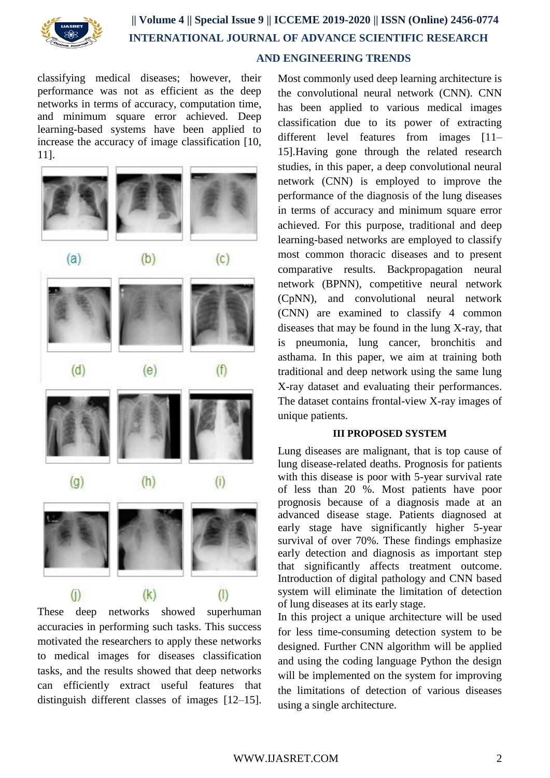

# **|| Volume 4 || Special Issue 9 || ICCEME 2019-2020 || ISSN (Online) 2456-0774 INTERNATIONAL JOURNAL OF ADVANCE SCIENTIFIC RESEARCH AND ENGINEERING TRENDS**

classifying medical diseases; however, their performance was not as efficient as the deep networks in terms of accuracy, computation time, and minimum square error achieved. Deep learning-based systems have been applied to increase the accuracy of image classification [10, 11].



These deep networks showed superhuman accuracies in performing such tasks. This success motivated the researchers to apply these networks to medical images for diseases classification tasks, and the results showed that deep networks can efficiently extract useful features that distinguish different classes of images [12–15].

Most commonly used deep learning architecture is the convolutional neural network (CNN). CNN has been applied to various medical images classification due to its power of extracting different level features from images [11– 15].Having gone through the related research studies, in this paper, a deep convolutional neural network (CNN) is employed to improve the performance of the diagnosis of the lung diseases in terms of accuracy and minimum square error achieved. For this purpose, traditional and deep learning-based networks are employed to classify most common thoracic diseases and to present comparative results. Backpropagation neural network (BPNN), competitive neural network (CpNN), and convolutional neural network (CNN) are examined to classify 4 common diseases that may be found in the lung X-ray, that is pneumonia, lung cancer, bronchitis and asthama. In this paper, we aim at training both traditional and deep network using the same lung X-ray dataset and evaluating their performances. The dataset contains frontal-view X-ray images of unique patients.

## **III PROPOSED SYSTEM**

Lung diseases are malignant, that is top cause of lung disease-related deaths. Prognosis for patients with this disease is poor with 5-year survival rate of less than 20 %. Most patients have poor prognosis because of a diagnosis made at an advanced disease stage. Patients diagnosed at early stage have significantly higher 5-year survival of over 70%. These findings emphasize early detection and diagnosis as important step that significantly affects treatment outcome. Introduction of digital pathology and CNN based system will eliminate the limitation of detection of lung diseases at its early stage.

In this project a unique architecture will be used for less time-consuming detection system to be designed. Further CNN algorithm will be applied and using the coding language Python the design will be implemented on the system for improving the limitations of detection of various diseases using a single architecture.